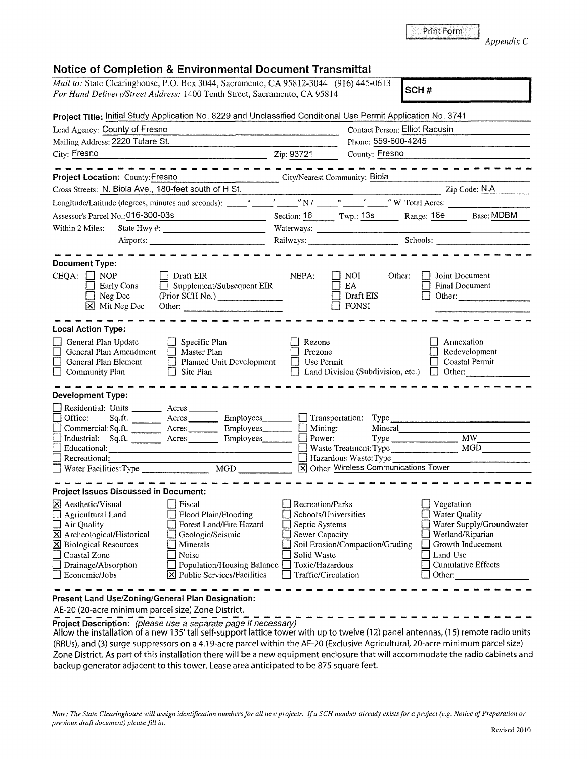|  |  | Print Form |  |
|--|--|------------|--|
|  |  |            |  |
|  |  |            |  |

## *Appendix* C

## **Notice of Completion & Environmental Document Transmittal**

| NURG OF COMPIGNOR & LINIFORMERIA DOCUMENT MARSHINAR                                                                                                                                                                                                                       |                                                                                                                                                                                                                                                                                                                     |                                                                                        |                                                                                                                |                                                   |                                                                                                |  |
|---------------------------------------------------------------------------------------------------------------------------------------------------------------------------------------------------------------------------------------------------------------------------|---------------------------------------------------------------------------------------------------------------------------------------------------------------------------------------------------------------------------------------------------------------------------------------------------------------------|----------------------------------------------------------------------------------------|----------------------------------------------------------------------------------------------------------------|---------------------------------------------------|------------------------------------------------------------------------------------------------|--|
| <i>Mail to:</i> State Clearinghouse, P.O. Box 3044, Sacramento, CA 95812-3044 (916) 445-0613<br>For Hand Delivery/Street Address: 1400 Tenth Street, Sacramento, CA 95814                                                                                                 |                                                                                                                                                                                                                                                                                                                     |                                                                                        |                                                                                                                | SCH#                                              |                                                                                                |  |
| Project Title: Initial Study Application No. 8229 and Unclassified Conditional Use Permit Application No. 3741                                                                                                                                                            |                                                                                                                                                                                                                                                                                                                     |                                                                                        |                                                                                                                |                                                   |                                                                                                |  |
| Lead Agency: County of Fresno                                                                                                                                                                                                                                             |                                                                                                                                                                                                                                                                                                                     |                                                                                        |                                                                                                                | Contact Person: Elliot Racusin                    |                                                                                                |  |
| Mailing Address: 2220 Tulare St.                                                                                                                                                                                                                                          |                                                                                                                                                                                                                                                                                                                     |                                                                                        | Phone: 559-600-4245                                                                                            |                                                   |                                                                                                |  |
| City: Fresno                                                                                                                                                                                                                                                              | $\frac{1}{2}$ $\frac{1}{2}$ $\frac{1}{2}$ $\frac{1}{2}$ $\frac{1}{2}$ $\frac{1}{2}$ $\frac{1}{2}$ $\frac{1}{2}$ $\frac{1}{2}$ $\frac{1}{2}$ $\frac{1}{2}$ $\frac{1}{2}$ $\frac{1}{2}$ $\frac{1}{2}$ $\frac{1}{2}$ $\frac{1}{2}$ $\frac{1}{2}$ $\frac{1}{2}$ $\frac{1}{2}$ $\frac{1}{2}$ $\frac{1}{2}$ $\frac{1}{2}$ |                                                                                        | County: Fresno                                                                                                 |                                                   |                                                                                                |  |
|                                                                                                                                                                                                                                                                           |                                                                                                                                                                                                                                                                                                                     |                                                                                        |                                                                                                                | ________________                                  |                                                                                                |  |
| Project Location: County: Fresno                                                                                                                                                                                                                                          | City/Nearest Community: Biola                                                                                                                                                                                                                                                                                       |                                                                                        |                                                                                                                |                                                   |                                                                                                |  |
| Cross Streets: N. Biola Ave., 180-feet south of H St.                                                                                                                                                                                                                     |                                                                                                                                                                                                                                                                                                                     |                                                                                        |                                                                                                                |                                                   | Zip Code: N.A                                                                                  |  |
|                                                                                                                                                                                                                                                                           |                                                                                                                                                                                                                                                                                                                     |                                                                                        |                                                                                                                |                                                   |                                                                                                |  |
| Assessor's Parcel No.: 016-300-03s                                                                                                                                                                                                                                        |                                                                                                                                                                                                                                                                                                                     |                                                                                        | Section: 16 Twp.: 13s Range: 18e Base: MDBM                                                                    |                                                   |                                                                                                |  |
| Within 2 Miles:                                                                                                                                                                                                                                                           |                                                                                                                                                                                                                                                                                                                     |                                                                                        |                                                                                                                |                                                   |                                                                                                |  |
|                                                                                                                                                                                                                                                                           | Airports:                                                                                                                                                                                                                                                                                                           | Railways: Schools: Schools:                                                            |                                                                                                                |                                                   |                                                                                                |  |
|                                                                                                                                                                                                                                                                           |                                                                                                                                                                                                                                                                                                                     |                                                                                        |                                                                                                                |                                                   |                                                                                                |  |
| <b>Document Type:</b>                                                                                                                                                                                                                                                     |                                                                                                                                                                                                                                                                                                                     |                                                                                        |                                                                                                                |                                                   |                                                                                                |  |
| $CEQA: \Box NP$<br>$\Box$ Early Cons<br>$\Box$ Neg Dec<br>X Mit Neg Dec                                                                                                                                                                                                   | Draft EIR<br>Supplement/Subsequent EIR<br>(Prior SCH No.) ________________<br>Other:                                                                                                                                                                                                                                | NEPA:                                                                                  | $\Box$ Noi<br>EA<br>Draft EIS<br>FONSI                                                                         | Other:                                            | Joint Document<br>Final Document<br>Other: $\frac{1}{1}$                                       |  |
| <b>Local Action Type:</b>                                                                                                                                                                                                                                                 |                                                                                                                                                                                                                                                                                                                     |                                                                                        |                                                                                                                |                                                   |                                                                                                |  |
| General Plan Update<br>General Plan Amendment<br>General Plan Element<br>$\Box$<br>$\Box$ Community Plan                                                                                                                                                                  | Specific Plan<br>$\Box$ Master Plan<br>Planned Unit Development<br>$\Box$ Site Plan                                                                                                                                                                                                                                 | Rezone<br>Prezone<br>Use Permit                                                        | Land Division (Subdivision, etc.)                                                                              | $\mathbf{1}$                                      | Annexation<br>Redevelopment<br>Coastal Permit<br>Other:                                        |  |
| Development Type:                                                                                                                                                                                                                                                         |                                                                                                                                                                                                                                                                                                                     |                                                                                        |                                                                                                                |                                                   |                                                                                                |  |
| Residential: Units ________ Acres ______<br>Office:<br>Commercial: Sq.ft. __________ Acres ___________ Employees_________ $\Box$<br>Industrial: Sq.ft. ________ Acres _________ Employees_______<br>$\Box$ Educational:<br>$\Box$ Recreational:<br>Water Facilities: Type | Sq.ft. ________ Acres __________ Employees________ _ _ Transportation: Type<br>MGD                                                                                                                                                                                                                                  | Power:                                                                                 | Mining:<br>Mineral<br>Waste Treatment: Type<br>Hazardous Waste: Type<br>X Other: Wireless Communications Tower | Type                                              | $\overline{MW}$<br>MGD                                                                         |  |
| <b>Project Issues Discussed in Document:</b>                                                                                                                                                                                                                              |                                                                                                                                                                                                                                                                                                                     |                                                                                        |                                                                                                                |                                                   |                                                                                                |  |
| X Aesthetic/Visual<br><b>Agricultural Land</b><br>Air Quality<br>⊠<br>Archeological/Historical<br><b>X</b> Biological Resources<br>Coastal Zone<br>Drainage/Absorption<br>Economic/Jobs                                                                                   | Fiscal<br>Flood Plain/Flooding<br>Forest Land/Fire Hazard<br>Geologic/Seismic<br>Minerals<br>Noise<br>Population/Housing Balance<br>$\boxtimes$ Public Services/Facilities                                                                                                                                          | Recreation/Parks<br>Septic Systems<br>Sewer Capacity<br>Solid Waste<br>Toxic/Hazardous | Schools/Universities<br>Soil Erosion/Compaction/Grading<br>Traffic/Circulation                                 | Vegetation<br>Water Quality<br>Land Use<br>Other: | Water Supply/Groundwater<br>Wetland/Riparian<br>Growth Inducement<br><b>Cumulative Effects</b> |  |
| Present Land Use/Zoning/General Plan Designation:                                                                                                                                                                                                                         |                                                                                                                                                                                                                                                                                                                     |                                                                                        |                                                                                                                |                                                   |                                                                                                |  |

AE-20 (20-acre minimum parcel size) Zone District.

**Project Description:** (please use a separate page if necessary)

Allow the installation of a new 135' tall self-support lattice tower with up to twelve (12) panel antennas, (15) remote radio units (RRUs), and (3) surge suppressors on a 4.19-acre parcel within the AE-20 (Exclusive Agricultural, 20-acre minimum parcel size) Zone District. As part of this installation there will be a new equipment enclosure that will accommodate the radio cabinets and backup generator adjacent to this tower. Lease area anticipated to be 875 square feet.